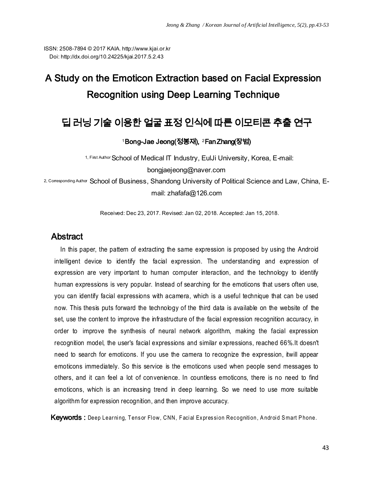ISSN: 2508-7894 © 2017 KAIA. http://www.kjai.or.kr Doi: http://dx.doi.org/10.24225/kjai.2017.5.2.43

# A Study on the Emoticon Extraction based on Facial Expression Recognition using Deep Learning Technique

# 딥 러닝 기술 이용한 얼굴 표정 인식에 따른 이모티콘 추출 연구

<sup>1</sup>Bong-Jae Jeong(정봉재), <sup>2</sup>Fan Zhang(장범)

1, First Author School of Medical IT Industry, EulJi University, Korea, E-mail:

[bongjaejeong@naver.com](mailto:bongjaejeong@naver.com)

2, Corresponding Author School of Business, Shandong University of Political Science and Law, China, Email: zhafafa@126.com

Received: Dec 23, 2017. Revised: Jan 02, 2018. Accepted: Jan 15, 2018.

### **Abstract**

In this paper, the pattern of extracting the same expression is proposed by using the Android intelligent device to identify the facial expression. The understanding and expression of expression are very important to human computer interaction, and the technology to identify human expressions is very popular. Instead of searching for the emoticons that users often use, you can identify facial expressions with acamera, which is a useful technique that can be used now. This thesis puts forward the technology of the third data is available on the website of the set, use the content to improve the infrastructure of the facial expression recognition accuracy, in order to improve the synthesis of neural network algorithm, making the facial expression recognition model, the user's facial expressions and similar e xpressions, reached 66%.It doesn't need to search for emoticons. If you use the camera to recognize the expression, itwill appear emoticons immediately. So this service is the emoticons used when people send messages to others, and it can feel a lot of convenience. In countless emoticons, there is no need to find emoticons, which is an increasing trend in deep learning. So we need to use more suitable algorithm for expression recognition, and then improve accuracy.

**Keywords :** Deep Learning, Tensor Flow, CNN, Facial Expression Recognition, Android Smart Phone.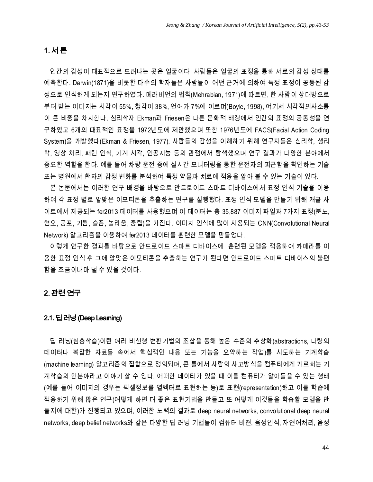## 1. 서 론

인간의 감성이 대표적으로 드러나는 곳은 얼굴이다. 사람들은 얼굴의 표정을 통해 서로의 감성 상태를 예측한다. Darwin(1871)을 비롯한 다수의 학자들은 사람들이 어떤 근거에 의하여 특정 표정이 공통된 감 성으로 인식하게 되는지 연구하였다. 메라비언의 법칙(Mehrabian, 1971)에 따르면, 한 사람이 상대방으로 부터 받는 이미지는 시각이 55%, 청각이 38%, 언어가 7%에 이르며(Boyle, 1998), 여기서 시각적의사소통 이 큰 비중을 차지한다. 심리학자 Ekman과 Friesen은 다른 문화적 배경에서 인간의 표정의 공통성을 연 구하였고 6개의 대표적인 표정을 1972년도에 제안했으며 또한 1976년도에 FACS(Facial Action Coding System)을 개발했다(Ekman & Friesen, 1977). 사람들의 감성을 이해하기 위해 연구자들은 심리학, 생리 학, 영상 처리, 패턴 인식, 기계 시각, 인공지능 등의 관점에서 탐색했으며 연구 결과가 다양한 분야에서 중요한 역할을 한다. 예를 들어 차량 운전 중에 실시간 모니터링을 통한 운전자의 피곤함을 확인하는 기술 또는 병원에서 환자의 감정 변화를 분석하여 특정 약물과 치료에 적응을 알아 볼 수 있는 기술이 있다.

본 논문에서는 이러한 연구 배경을 바탕으로 안드로이드 스마트 디바이스에서 표정 인식 기술을 이용 하여 각 표정 별로 알맞은 이모티콘을 추출하는 연구를 실행했다. 표정 인식 모델을 만들기 위해 캐글 사 이트에서 제공되는 fer2013 데이터를 사용했으며 이 데이터는 총 35,887 이미지 파일과 7가지 표정(분노, 혐오, 공포, 기쁨, 슬픔, 놀라움, 중립)을 가진다. 이미지 인식에 많이 사용되는 CNN(Convolutional Neural Network) 알고리즘을 이용하여 fer2013 데이터를 훈련한 모델을 만들었다.

이렇게 연구한 결과를 바탕으로 안드로이드 스마트 디바이스에 훈련된 모델을 적용하여 카메라를 이 용한 표정 인식 후 그에 알맞은 이모티콘을 추출하는 연구가 된다면 안드로이드 스마트 디바이스의 불편 함을 조금이나마 덜 수 있을 것이다.

#### 2. 관련 연구

#### 2.1. 딥 러닝 (Deep Learning)

딥 러닝(심층학습)이란 여러 비선형 변환기법의 조합을 통해 높은 수준의 추상화(abstractions, 다량의 데이터나 복잡한 자료들 속에서 핵심적인 내용 또는 기능을 요약하는 작업)를 시도하는 기계학습 (machine learning) 알고리즘의 집합으로 정의되며, 큰 틀에서 사람의 사고방식을 컴퓨터에게 가르치는 기 계학습의 한분야라고 이야기 할 수 있다. 어떠한 데이터가 있을 때 이를 컴퓨터가 알아들을 수 있는 형태 (예를 들어 이미지의 경우는 픽셀정보를 열벡터로 표현하는 등)로 표현(representation)하고 이를 학습에 적용하기 위해 많은 연구(어떻게 하면 더 좋은 표현기법을 만들고 또 어떻게 이것들을 학습할 모델을 만 들지에 대한)가 진행되고 있으며, 이러한 노력의 결과로 deep neural networks, convolutional deep neural networks, deep belief networks와 같은 다양한 딥 러닝 기법들이 컴퓨터 비젼, 음성인식, 자연어처리, 음성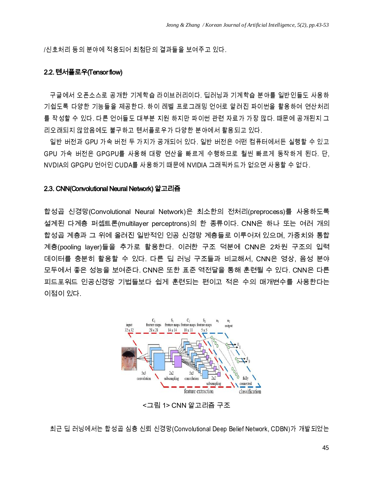/신호처리 등의 분야에 적용되어 최첨단의 결과들을 보여주고 있다.

#### 2.2. 텐서플로우(Tensor flow)

구글에서 오픈소스로 공개한 기계학습 라이브러리이다. 딥러닝과 기계학습 분야를 일반인들도 사용하 기쉽도록 다양한 기능들을 제공한다. 하이 레벨 프로그래밍 언어로 알려진 파이썬을 활용하여 연산처리 를 작성할 수 있다. 다른 언어들도 대부분 지원 하지만 파이썬 관련 자료가 가장 많다. 때문에 공개된지 그 리오래되지 않았음에도 불구하고 텐서플로우가 다양한 분야에서 활용되고 있다.

일반 버전과 GPU 가속 버전 두 가지가 공개되어 있다. 일반 버전은 어떤 컴퓨터에서든 실행할 수 있고 GPU 가속 버전은 GPGPU를 사용해 대량 연산을 빠르게 수행하므로 훨씬 빠르게 동작하게 된다. 단, NVDIA의 GPGPU 언어인 CUDA를 사용하기 때문에 NVIDIA 그래픽카드가 없으면 사용할 수 없다.

#### 2.3. CNN(Convolutional Neural Network) 알고리즘

합성곱 신경망(Convolutional Neural Network)은 최소한의 전처리(preprocess)를 사용하도록 설계된 다계층 퍼셉트론(multilayer perceptrons)의 한 종류이다. CNN은 하나 또는 여러 개의 합성곱 계층과 그 위에 올려진 일반적인 인공 신경망 계층들로 이루어져 있으며, 가중치와 통합 계층(pooling layer)들을 추가로 활용한다. 이러한 구조 덕분에 CNN은 2차원 구조의 입력 데이터를 충분히 활용할 수 있다. 다른 딥 러닝 구조들과 비교해서, CNN은 영상, 음성 분야 모두에서 좋은 성능을 보여준다. CNN은 또한 표준 역전달을 통해 훈련될 수 있다. CNN은 다른 피드포워드 인공신경망 기법들보다 쉽게 훈련되는 편이고 적은 수의 매개변수를 사용한다는 이점이 있다.



최근 딥 러닝에서는 합성곱 심층 신뢰 신경망(Convolutional Deep Belief Network, CDBN)가 개발되었는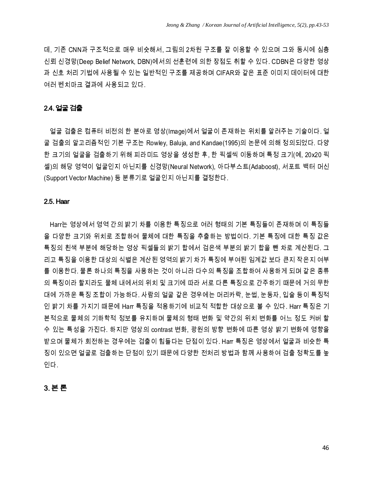데, 기존 CNN과 구조적으로 매우 비슷해서, 그림의 2차원 구조를 잘 이용할 수 있으며 그와 동시에 심층 신뢰 신경망(Deep Belief Network, DBN)에서의 선훈련에 의한 장점도 취할 수 있다. CDBN은 다양한 영상 과 신호 처리 기법에 사용될 수 있는 일반적인 구조를 제공하며 CIFAR와 같은 표준 이미지 데이터에 대한 여러 벤치마크 결과에 사용되고 있다.

#### 2.4. 얼굴 검출

얼굴 검출은 컴퓨터 비전의 한 분야로 영상(Image)에서 얼굴이 존재하는 위치를 알려주는 기술이다. 얼 굴 검출의 알고리즘적인 기본 구조는 Rowley, Baluja, and Kandae(1995)의 논문에 의해 정의되었다. 다양 한 크기의 얼굴을 검출하기 위해 피라미드 영상을 생성한 후, 한 픽셀씩 이동하며 특정 크기(예, 20x20 픽 셀)의 해당 영역이 얼굴인지 아닌지를 신경망(Neural Network), 아다부스트(Adaboost), 서포트 백터 머신 (Support Vector Machine) 등 분류기로 얼굴인지 아닌지를 결정한다.

#### 2.5. Haar

Harr는 영상에서 영역 간의 밝기 차를 이용한 특징으로 여러 형태의 기본 특징들이 존재하며 이 특징들 을 다양한 크기와 위치로 조합하여 물체에 대한 특징을 추출하는 방법이다. 기본 특징에 대한 특징 값은 특징의 흰색 부분에 해당하는 영상 픽셀들의 밝기 합에서 검은색 부분의 밝기 합을 뺀 차로 계산된다. 그 리고 특징을 이용한 대상의 식별은 계산된 영역의 밝기 차가 특징에 부여된 임계값 보다 큰지 작은지 여부 를 이용한다. 물론 하나의 특징을 사용하는 것이 아니라 다수의 특징을 조합하여 사용하게 되며 같은 종류 의 특징이라 할지라도 물체 내에서의 위치 및 크기에 따라 서로 다른 특징으로 간주하기 때문에 거의 무한 대에 가까운 특징 조합이 가능하다. 사람의 얼굴 같은 경우에는 머리카락, 눈썹, 눈동자, 입술 등이 특징적 인 밝기 차를 가지기 때문에 Harr 특징을 적용하기에 비교적 적합한 대상으로 볼 수 있다. Harr 특징은 기 본적으로 물체의 기하학적 정보를 유지하며 물체의 형태 변화 및 약간의 위치 변화를 어느 정도 커버 할 수 있는 특성을 가진다. 하지만 영상의 contrast 변화, 광원의 방향 변화에 따른 영상 밝기 변화에 영향을 받으며 물체가 회전하는 경우에는 검출이 힘들다는 단점이 있다. Harr 특징은 영상에서 얼굴과 비슷한 특 징이 있으면 얼굴로 검출하는 단점이 있기 때문에 다양한 전처리 방법과 함께 사용하여 검출 정확도를 높 인다.

#### 3. 본 론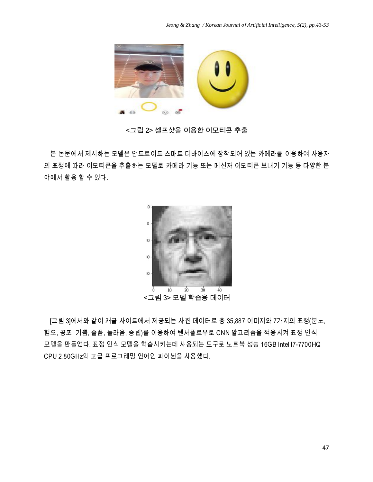

#### <그림 2> 셀프샷을 이용한 이모티콘 추출

본 논문에서 제시하는 모델은 안드로이드 스마트 디바이스에 장착되어 있는 카메라를 이용하여 사용자 의 표정에 따라 이모티콘을 추출하는 모델로 카메라 기능 또는 메신저 이모티콘 보내기 기능 등 다양한 분 야에서 활용 할 수 있다.



<그림 3> 모델 학습용 데이터

[그림 3]에서와 같이 캐글 사이트에서 제공되는 사진 데이터로 총 35,887 이미지와 7가지의 표정(분노, 혐오, 공포, 기쁨, 슬픔, 놀라움, 중립)를 이용하여 텐서플로우로 CNN 알고리즘을 적용시켜 표정 인식 모델을 만들었다. 표정 인식 모델을 학습시키는데 사용되는 도구로 노트북 성능 16GB Intel I7-7700HQ CPU 2.80GHz와 고급 프로그래밍 언어인 파이썬을 사용했다.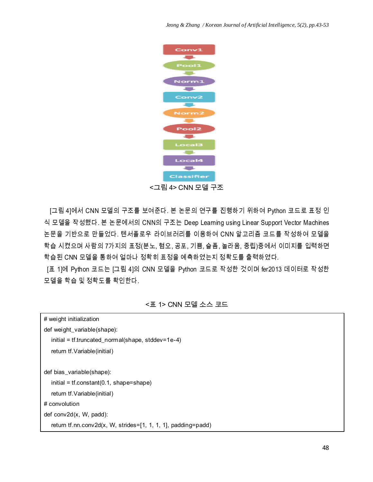*Jeong & Zhang / Korean Journal of Artificial Intelligence, 5(2), pp.43-53*



<그림 4> CNN 모델 구조

[그림 4]에서 CNN 모델의 구조를 보여준다. 본 논문의 연구를 진행하기 위하여 Python 코드로 표정 인 식 모델을 작성했다. 본 논문에서의 CNN의 구조는 Deep Learning using Linear Support Vector Machines 논문을 기반으로 만들었다. 텐서플로우 라이브러리를 이용하여 CNN 알고리즘 코드를 작성하여 모델을 학습 시켰으며 사람의 7가지의 표정(분노, 혐오, 공포, 기쁨, 슬픔, 놀라움, 중립)중에서 이미지를 입력하면 학습된 CNN 모델을 통하여 얼마나 정확히 표정을 예측하였는지 정확도를 출력하였다.

[표 1]에 Python 코드는 [그림 4]의 CNN 모델을 Python 코드로 작성한 것이며 fer2013 데이터로 작성한 모델을 학습 및 정확도를 확인한다.

#### <표 1> CNN 모델 소스 코드

| # weight initialization                                       |
|---------------------------------------------------------------|
| def weight variable(shape):                                   |
| initial = tf.truncated_normal(shape, stddev=1e-4)             |
| return tf. Variable (initial)                                 |
|                                                               |
| def bias_variable(shape):                                     |
| $initial = tf constant(0.1, shape = shape)$                   |
| return tf. Variable (initial)                                 |
| # convolution                                                 |
| $def \, conv2d(x, W, \text{padd})$ :                          |
| return tf.nn.conv2d(x, W, strides=[1, 1, 1, 1], padding=padd) |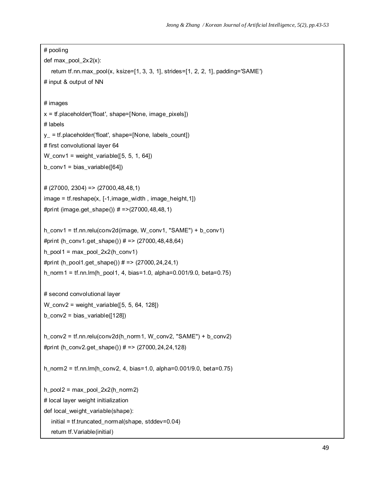```
# pooling
def max_pool_2x2(x):
   return tf.nn.max_pool(x, ksize=[1, 3, 3, 1], strides=[1, 2, 2, 1], padding='SAME')
# input & output of NN
# images
x = tf.placeholder('float', shape=[None, image_pixels])
# labels
y_ = tf.placeholder('float', shape=[None, labels_count])
# first convolutional layer 64
W_{\text{conv1}} = \text{weight\_variable}([5, 5, 1, 64])b_{\text{conv1}} = \text{bias_{\text{variable}}}# (27000, 2304) => (27000,48,48,1)
image = tf.reshape(x, [-1,image_width , image_height,1])
#print (image.get_shape()) # =>(27000,48,48,1)
h_conv1 = tf.nn.relu(conv2d(image, W_conv1, "SAME") + b_conv1)
#print (h_conv1.get_shape()) # = > (27000, 48, 48, 64)
h\_pool1 = max\_pool_2x2(h\_conv1)#print (h_pool1.get_shape()) # => (27000,24,24,1)
h_norm1 = tf.nn.lrn(h_pool1, 4, bias=1.0, alpha=0.001/9.0, beta=0.75)
# second convolutional layer
W_conv2 = weight_variable([5, 5, 64, 128])
b_conv2 = bias_variable([128])
h_conv2 = tf.nn.relu(conv2d(h_norm1, W_conv2, "SAME") + b_conv2)
#print (h_conv2.get_shape()) # => (27000,24,24,128)
h_norm2 = tf.nn.lrn(h_conv2, 4, bias=1.0, alpha=0.001/9.0, beta=0.75)
h_pool2 = max_pool_2x2(h_norm2)
# local layer weight initialization
def local_weight_variable(shape):
   initial = tf.truncated_normal(shape, stddev=0.04)
   return tf.Variable(initial)
```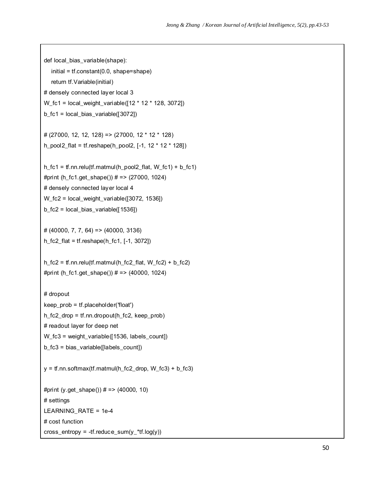```
def local_bias_variable(shape):
   initial = tf.constant(0.0, shape=shape)
   return tf.Variable(initial)
# densely connected layer local 3
W_fc1 = local_weight_variable([12 * 12 * 128, 3072])
b_fc1 = local_bias_variable([3072])
# (27000, 12, 12, 128) => (27000, 12 * 12 * 128)
h_pool2_flat = tf.reshape(h_pool2, [-1, 12 * 12 * 128])
h_fc1 = tf.nn.relu(tf.matmul(h_pool2_flat, W_fc1) + b_fc1)#print (h_fc1.get_shape()) # => (27000, 1024)
# densely connected layer local 4
W_fc2 = local_weight_variable([3072, 1536])
b_fc2 = local_bias_variable([1536])
# (40000, 7, 7, 64) => (40000, 3136)
h_fc2_flat = tf.reshape(h_fc1, [-1, 3072])
h_f c2 = tf.nn.relu(tf.matmul(h_f c2_flat, W_f c2) + b_f c2)#print (h_fc1.get_shape()) # => (40000, 1024)
# dropout
keep_prob = tf.placeholder('float')
h_fc2_drop = tf.nn.dropout(h_fc2, keep_prob)
# readout layer for deep net
W_fc3 = weight_variable([1536, labels_count])
b_fc3 = bias_variable([labels_count])
y = tf.nn.softmax(tf.matmul(h_fc2_drop, W_fc3) + b_fc3)#print (y.get_shape()) # => (40000, 10)
# settings
LEARNING_RATE = 1e-4
# cost function
cross_entropy = -tf.reduce_sum(y_*tf.log(y))
```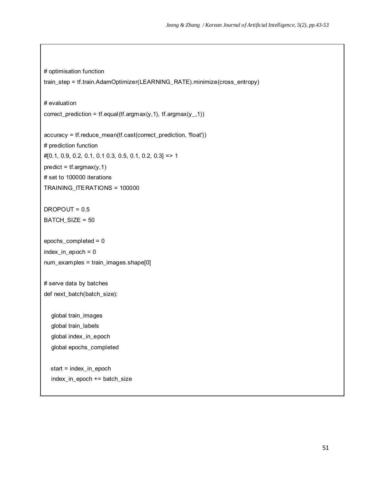```
# optimisation function
train_step = tf.train.AdamOptimizer(LEARNING_RATE).minimize(cross_entropy)
# evaluation
correct_prediction = tf.equal(tf.argmax(y,1), tf.argmax(y_,1))
accuracy = tf.reduce_mean(tf.cast(correct_prediction, 'float'))
# prediction function
#[0.1, 0.9, 0.2, 0.1, 0.1 0.3, 0.5, 0.1, 0.2, 0.3] => 1
predict = tf<sup>n</sup>argmax(y, 1)
# set to 100000 iterations 
TRAINING_ITERATIONS = 100000
DROPOUT = 0.5BATCH_SIZE = 50
epochs_completed = 0
index_in_epoch = 0
num_examples = train_images.shape[0]
# serve data by batches
def next_batch(batch_size):
   global train_images
   global train_labels
   global index_in_epoch
   global epochs_completed
   start = index_in_epoch
   index_in_epoch += batch_size
```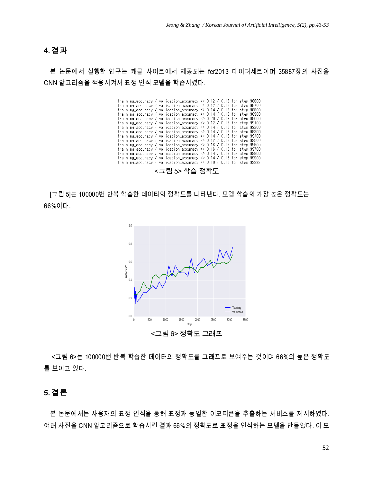# 4. 결 과

본 논문에서 실행한 연구는 캐글 사이트에서 제공되는 fer2013 데이터세트이며 35887장의 사진을 CNN 알고리즘을 적용시켜서 표정 인식 모델을 학습시켰다.

| training_accuracy / validation_accuracy => 0.12 / 0.18 for step 98600   |  |  |  |
|-------------------------------------------------------------------------|--|--|--|
| training_accuracy / validation_accuracy => 0.12 / 0.18 for step 98700   |  |  |  |
| training_accuracy / validation_accuracy => 0.14 / 0.18 for step 98800   |  |  |  |
| training_accuracy / validation_accuracy => 0.14 / 0.18 for step 98900   |  |  |  |
| training accuracy / validation accuracy => 0.20 / 0.18 for step 99000   |  |  |  |
| training_accuracy / validation_accuracy => 0.12 / 0.18 for step $99100$ |  |  |  |
| training accuracy / validation accuracy => 0.14 / 0.18 for step 99200   |  |  |  |
| training_accuracy / validation_accuracy => $0.14$ / 0.18 for step 99300 |  |  |  |
| training accuracy / validation accuracy => 0.14 / 0.18 for step 99400   |  |  |  |
| training accuracy / validation accuracy => 0.12 / 0.18 for step $99500$ |  |  |  |
| training_accuracy / validation_accuracy => 0.16 / 0.18 for step 99600   |  |  |  |
| training_accuracy / validation_accuracy => 0.16 / 0.18 for step 99700   |  |  |  |
| training accuracy / validation accuracy => 0.14 / 0.18 for step 99800   |  |  |  |
| training_accuracy / validation_accuracy => 0.14 / 0.18 for step 99900   |  |  |  |
| training accuracy / validation accuracy => 0.10 / 0.18 for step 99999   |  |  |  |

<그림 5> 학습 정확도

[그림 5]는 100000번 반복 학습한 데이터의 정확도를 나타낸다. 모델 학습의 가장 높은 정확도는 66%이다.



<그림 6>는 100000번 반복 학습한 데이터의 정확도를 그래프로 보여주는 것이며 66%의 높은 정확도 를 보이고 있다.

# 5. 결 론

본 논문에서는 사용자의 표정 인식을 통해 표정과 동일한 이모티콘을 추출하는 서비스를 제시하였다. 여러 사진을 CNN 알고리즘으로 학습시킨 결과 66%의 정확도로 표정을 인식하는 모델을 만들었다. 이 모